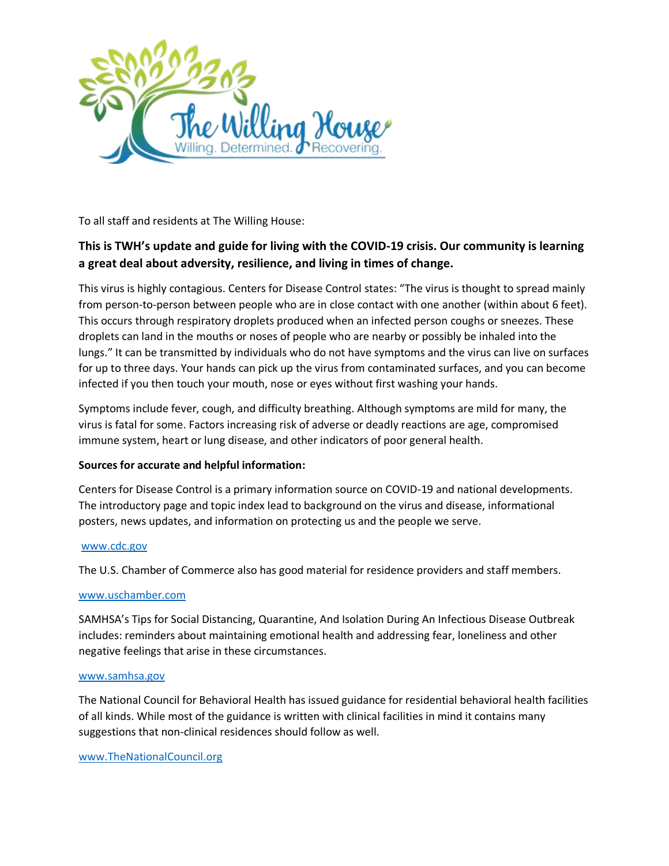

To all staff and residents at The Willing House:

# **This is TWH's update and guide for living with the COVID-19 crisis. Our community is learning a great deal about adversity, resilience, and living in times of change.**

This virus is highly contagious. Centers for Disease Control states: "The virus is thought to spread mainly from person-to-person between people who are in close contact with one another (within about 6 feet). This occurs through respiratory droplets produced when an infected person coughs or sneezes. These droplets can land in the mouths or noses of people who are nearby or possibly be inhaled into the lungs." It can be transmitted by individuals who do not have symptoms and the virus can live on surfaces for up to three days. Your hands can pick up the virus from contaminated surfaces, and you can become infected if you then touch your mouth, nose or eyes without first washing your hands.

Symptoms include fever, cough, and difficulty breathing. Although symptoms are mild for many, the virus is fatal for some. Factors increasing risk of adverse or deadly reactions are age, compromised immune system, heart or lung disease, and other indicators of poor general health.

# **Sources for accurate and helpful information:**

Centers for Disease Control is a primary information source on COVID-19 and national developments. The introductory page and topic index lead to background on the virus and disease, informational posters, news updates, and information on protecting us and the people we serve.

## [www.cdc.gov](http://www.cdc.gov/)

The U.S. Chamber of Commerce also has good material for residence providers and staff members.

# [www.uschamber.com](http://www.uschamber.com/)

SAMHSA's Tips for Social Distancing, Quarantine, And Isolation During An Infectious Disease Outbreak includes: reminders about maintaining emotional health and addressing fear, loneliness and other negative feelings that arise in these circumstances.

## [www.samhsa.gov](http://www.samhsa.gov/)

The National Council for Behavioral Health has issued guidance for residential behavioral health facilities of all kinds. While most of the guidance is written with clinical facilities in mind it contains many suggestions that non-clinical residences should follow as well.

## [www.TheNationalCouncil.org](http://www.thenationalcouncil.org/)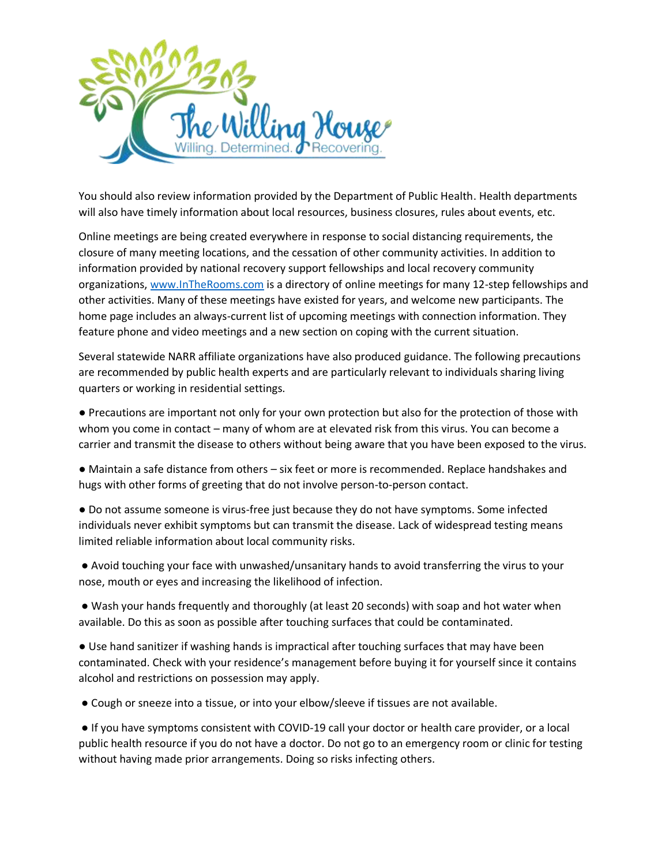

You should also review information provided by the Department of Public Health. Health departments will also have timely information about local resources, business closures, rules about events, etc.

Online meetings are being created everywhere in response to social distancing requirements, the closure of many meeting locations, and the cessation of other community activities. In addition to information provided by national recovery support fellowships and local recovery community organizations, [www.InTheRooms.com](http://www.intherooms.com/) is a directory of online meetings for many 12-step fellowships and other activities. Many of these meetings have existed for years, and welcome new participants. The home page includes an always-current list of upcoming meetings with connection information. They feature phone and video meetings and a new section on coping with the current situation.

Several statewide NARR affiliate organizations have also produced guidance. The following precautions are recommended by public health experts and are particularly relevant to individuals sharing living quarters or working in residential settings.

● Precautions are important not only for your own protection but also for the protection of those with whom you come in contact – many of whom are at elevated risk from this virus. You can become a carrier and transmit the disease to others without being aware that you have been exposed to the virus.

● Maintain a safe distance from others – six feet or more is recommended. Replace handshakes and hugs with other forms of greeting that do not involve person-to-person contact.

● Do not assume someone is virus-free just because they do not have symptoms. Some infected individuals never exhibit symptoms but can transmit the disease. Lack of widespread testing means limited reliable information about local community risks.

● Avoid touching your face with unwashed/unsanitary hands to avoid transferring the virus to your nose, mouth or eyes and increasing the likelihood of infection.

● Wash your hands frequently and thoroughly (at least 20 seconds) with soap and hot water when available. Do this as soon as possible after touching surfaces that could be contaminated.

● Use hand sanitizer if washing hands is impractical after touching surfaces that may have been contaminated. Check with your residence's management before buying it for yourself since it contains alcohol and restrictions on possession may apply.

● Cough or sneeze into a tissue, or into your elbow/sleeve if tissues are not available.

● If you have symptoms consistent with COVID-19 call your doctor or health care provider, or a local public health resource if you do not have a doctor. Do not go to an emergency room or clinic for testing without having made prior arrangements. Doing so risks infecting others.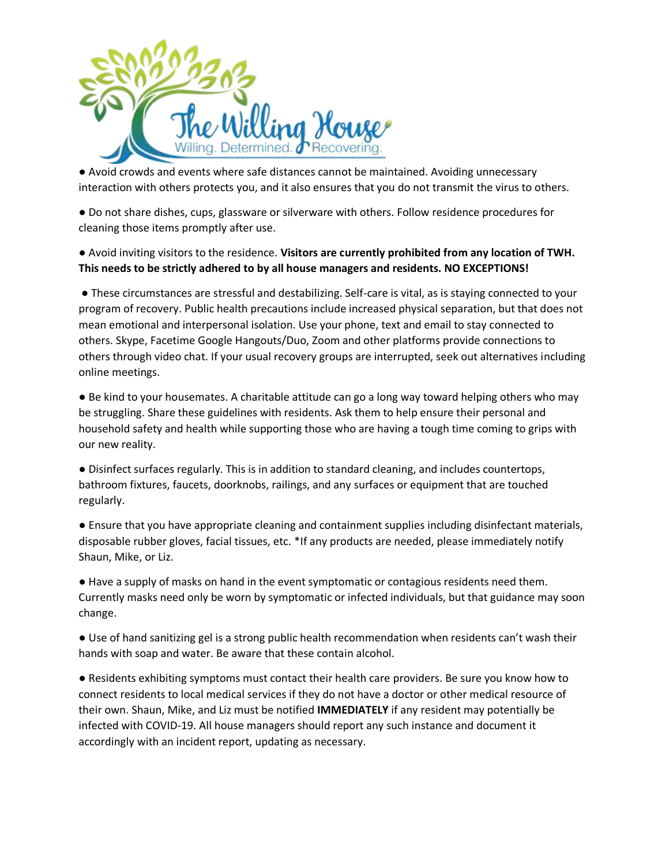

● Avoid crowds and events where safe distances cannot be maintained. Avoiding unnecessary interaction with others protects you, and it also ensures that you do not transmit the virus to others.

● Do not share dishes, cups, glassware or silverware with others. Follow residence procedures for cleaning those items promptly after use.

● Avoid inviting visitors to the residence. **Visitors are currently prohibited from any location of TWH. This needs to be strictly adhered to by all house managers and residents. NO EXCEPTIONS!**

● These circumstances are stressful and destabilizing. Self-care is vital, as is staying connected to your program of recovery. Public health precautions include increased physical separation, but that does not mean emotional and interpersonal isolation. Use your phone, text and email to stay connected to others. Skype, Facetime Google Hangouts/Duo, Zoom and other platforms provide connections to others through video chat. If your usual recovery groups are interrupted, seek out alternatives including online meetings.

● Be kind to your housemates. A charitable attitude can go a long way toward helping others who may be struggling. Share these guidelines with residents. Ask them to help ensure their personal and household safety and health while supporting those who are having a tough time coming to grips with our new reality.

● Disinfect surfaces regularly. This is in addition to standard cleaning, and includes countertops, bathroom fixtures, faucets, doorknobs, railings, and any surfaces or equipment that are touched regularly.

● Ensure that you have appropriate cleaning and containment supplies including disinfectant materials, disposable rubber gloves, facial tissues, etc. \*If any products are needed, please immediately notify Shaun, Mike, or Liz.

● Have a supply of masks on hand in the event symptomatic or contagious residents need them. Currently masks need only be worn by symptomatic or infected individuals, but that guidance may soon change.

● Use of hand sanitizing gel is a strong public health recommendation when residents can't wash their hands with soap and water. Be aware that these contain alcohol.

● Residents exhibiting symptoms must contact their health care providers. Be sure you know how to connect residents to local medical services if they do not have a doctor or other medical resource of their own. Shaun, Mike, and Liz must be notified **IMMEDIATELY** if any resident may potentially be infected with COVID-19. All house managers should report any such instance and document it accordingly with an incident report, updating as necessary.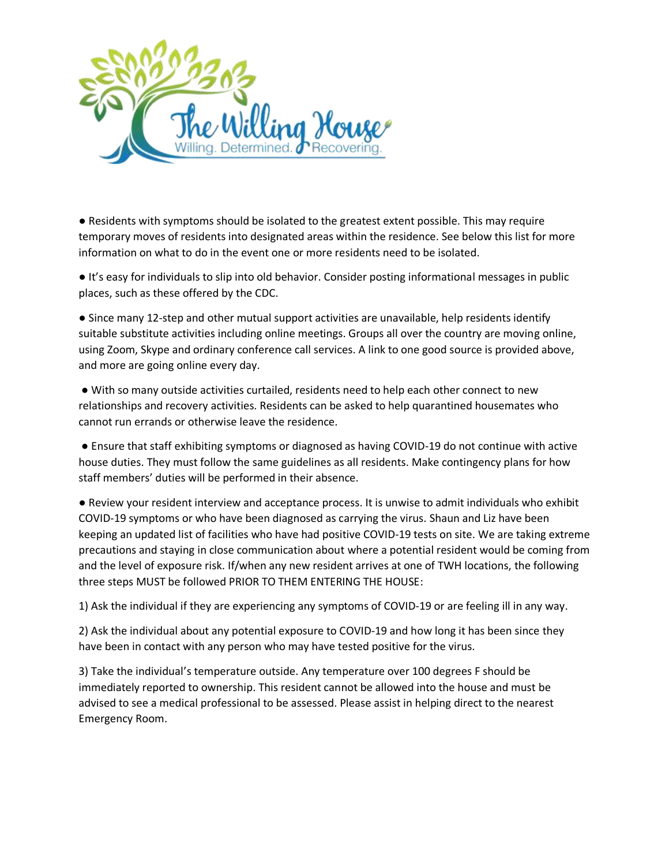

● Residents with symptoms should be isolated to the greatest extent possible. This may require temporary moves of residents into designated areas within the residence. See below this list for more information on what to do in the event one or more residents need to be isolated.

● It's easy for individuals to slip into old behavior. Consider posting informational messages in public places, such as these offered by the CDC.

● Since many 12-step and other mutual support activities are unavailable, help residents identify suitable substitute activities including online meetings. Groups all over the country are moving online, using Zoom, Skype and ordinary conference call services. A link to one good source is provided above, and more are going online every day.

● With so many outside activities curtailed, residents need to help each other connect to new relationships and recovery activities. Residents can be asked to help quarantined housemates who cannot run errands or otherwise leave the residence.

● Ensure that staff exhibiting symptoms or diagnosed as having COVID-19 do not continue with active house duties. They must follow the same guidelines as all residents. Make contingency plans for how staff members' duties will be performed in their absence.

● Review your resident interview and acceptance process. It is unwise to admit individuals who exhibit COVID-19 symptoms or who have been diagnosed as carrying the virus. Shaun and Liz have been keeping an updated list of facilities who have had positive COVID-19 tests on site. We are taking extreme precautions and staying in close communication about where a potential resident would be coming from and the level of exposure risk. If/when any new resident arrives at one of TWH locations, the following three steps MUST be followed PRIOR TO THEM ENTERING THE HOUSE:

1) Ask the individual if they are experiencing any symptoms of COVID-19 or are feeling ill in any way.

2) Ask the individual about any potential exposure to COVID-19 and how long it has been since they have been in contact with any person who may have tested positive for the virus.

3) Take the individual's temperature outside. Any temperature over 100 degrees F should be immediately reported to ownership. This resident cannot be allowed into the house and must be advised to see a medical professional to be assessed. Please assist in helping direct to the nearest Emergency Room.